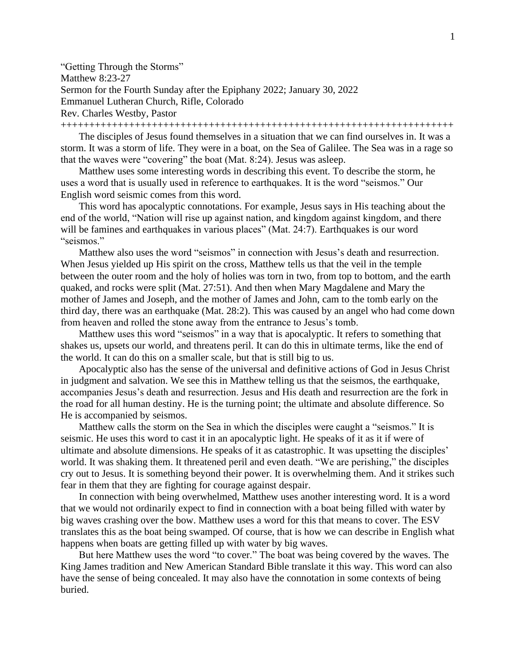"Getting Through the Storms" Matthew 8:23-27 Sermon for the Fourth Sunday after the Epiphany 2022; January 30, 2022 Emmanuel Lutheran Church, Rifle, Colorado Rev. Charles Westby, Pastor +++++++++++++++++++++++++++++++++++++++++++++++++++++++++++++++++++++

The disciples of Jesus found themselves in a situation that we can find ourselves in. It was a storm. It was a storm of life. They were in a boat, on the Sea of Galilee. The Sea was in a rage so that the waves were "covering" the boat (Mat. 8:24). Jesus was asleep.

Matthew uses some interesting words in describing this event. To describe the storm, he uses a word that is usually used in reference to earthquakes. It is the word "seismos." Our English word seismic comes from this word.

This word has apocalyptic connotations. For example, Jesus says in His teaching about the end of the world, "Nation will rise up against nation, and kingdom against kingdom, and there will be famines and earthquakes in various places" (Mat. 24:7). Earthquakes is our word "seismos."

Matthew also uses the word "seismos" in connection with Jesus's death and resurrection. When Jesus yielded up His spirit on the cross, Matthew tells us that the veil in the temple between the outer room and the holy of holies was torn in two, from top to bottom, and the earth quaked, and rocks were split (Mat. 27:51). And then when Mary Magdalene and Mary the mother of James and Joseph, and the mother of James and John, cam to the tomb early on the third day, there was an earthquake (Mat. 28:2). This was caused by an angel who had come down from heaven and rolled the stone away from the entrance to Jesus's tomb.

Matthew uses this word "seismos" in a way that is apocalyptic. It refers to something that shakes us, upsets our world, and threatens peril. It can do this in ultimate terms, like the end of the world. It can do this on a smaller scale, but that is still big to us.

Apocalyptic also has the sense of the universal and definitive actions of God in Jesus Christ in judgment and salvation. We see this in Matthew telling us that the seismos, the earthquake, accompanies Jesus's death and resurrection. Jesus and His death and resurrection are the fork in the road for all human destiny. He is the turning point; the ultimate and absolute difference. So He is accompanied by seismos.

Matthew calls the storm on the Sea in which the disciples were caught a "seismos." It is seismic. He uses this word to cast it in an apocalyptic light. He speaks of it as it if were of ultimate and absolute dimensions. He speaks of it as catastrophic. It was upsetting the disciples' world. It was shaking them. It threatened peril and even death. "We are perishing," the disciples cry out to Jesus. It is something beyond their power. It is overwhelming them. And it strikes such fear in them that they are fighting for courage against despair.

In connection with being overwhelmed, Matthew uses another interesting word. It is a word that we would not ordinarily expect to find in connection with a boat being filled with water by big waves crashing over the bow. Matthew uses a word for this that means to cover. The ESV translates this as the boat being swamped. Of course, that is how we can describe in English what happens when boats are getting filled up with water by big waves.

But here Matthew uses the word "to cover." The boat was being covered by the waves. The King James tradition and New American Standard Bible translate it this way. This word can also have the sense of being concealed. It may also have the connotation in some contexts of being buried.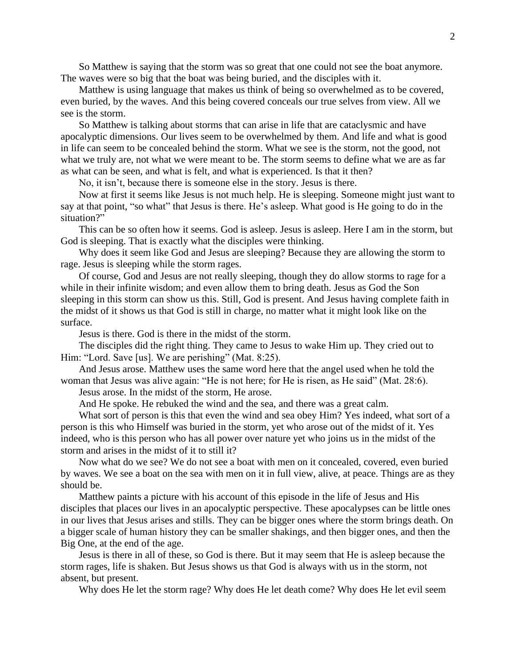So Matthew is saying that the storm was so great that one could not see the boat anymore. The waves were so big that the boat was being buried, and the disciples with it.

Matthew is using language that makes us think of being so overwhelmed as to be covered, even buried, by the waves. And this being covered conceals our true selves from view. All we see is the storm.

So Matthew is talking about storms that can arise in life that are cataclysmic and have apocalyptic dimensions. Our lives seem to be overwhelmed by them. And life and what is good in life can seem to be concealed behind the storm. What we see is the storm, not the good, not what we truly are, not what we were meant to be. The storm seems to define what we are as far as what can be seen, and what is felt, and what is experienced. Is that it then?

No, it isn't, because there is someone else in the story. Jesus is there.

Now at first it seems like Jesus is not much help. He is sleeping. Someone might just want to say at that point, "so what" that Jesus is there. He's asleep. What good is He going to do in the situation?"

This can be so often how it seems. God is asleep. Jesus is asleep. Here I am in the storm, but God is sleeping. That is exactly what the disciples were thinking.

Why does it seem like God and Jesus are sleeping? Because they are allowing the storm to rage. Jesus is sleeping while the storm rages.

Of course, God and Jesus are not really sleeping, though they do allow storms to rage for a while in their infinite wisdom; and even allow them to bring death. Jesus as God the Son sleeping in this storm can show us this. Still, God is present. And Jesus having complete faith in the midst of it shows us that God is still in charge, no matter what it might look like on the surface.

Jesus is there. God is there in the midst of the storm.

The disciples did the right thing. They came to Jesus to wake Him up. They cried out to Him: "Lord. Save [us]. We are perishing" (Mat. 8:25).

And Jesus arose. Matthew uses the same word here that the angel used when he told the woman that Jesus was alive again: "He is not here; for He is risen, as He said" (Mat. 28:6).

Jesus arose. In the midst of the storm, He arose.

And He spoke. He rebuked the wind and the sea, and there was a great calm.

What sort of person is this that even the wind and sea obey Him? Yes indeed, what sort of a person is this who Himself was buried in the storm, yet who arose out of the midst of it. Yes indeed, who is this person who has all power over nature yet who joins us in the midst of the storm and arises in the midst of it to still it?

Now what do we see? We do not see a boat with men on it concealed, covered, even buried by waves. We see a boat on the sea with men on it in full view, alive, at peace. Things are as they should be.

Matthew paints a picture with his account of this episode in the life of Jesus and His disciples that places our lives in an apocalyptic perspective. These apocalypses can be little ones in our lives that Jesus arises and stills. They can be bigger ones where the storm brings death. On a bigger scale of human history they can be smaller shakings, and then bigger ones, and then the Big One, at the end of the age.

Jesus is there in all of these, so God is there. But it may seem that He is asleep because the storm rages, life is shaken. But Jesus shows us that God is always with us in the storm, not absent, but present.

Why does He let the storm rage? Why does He let death come? Why does He let evil seem